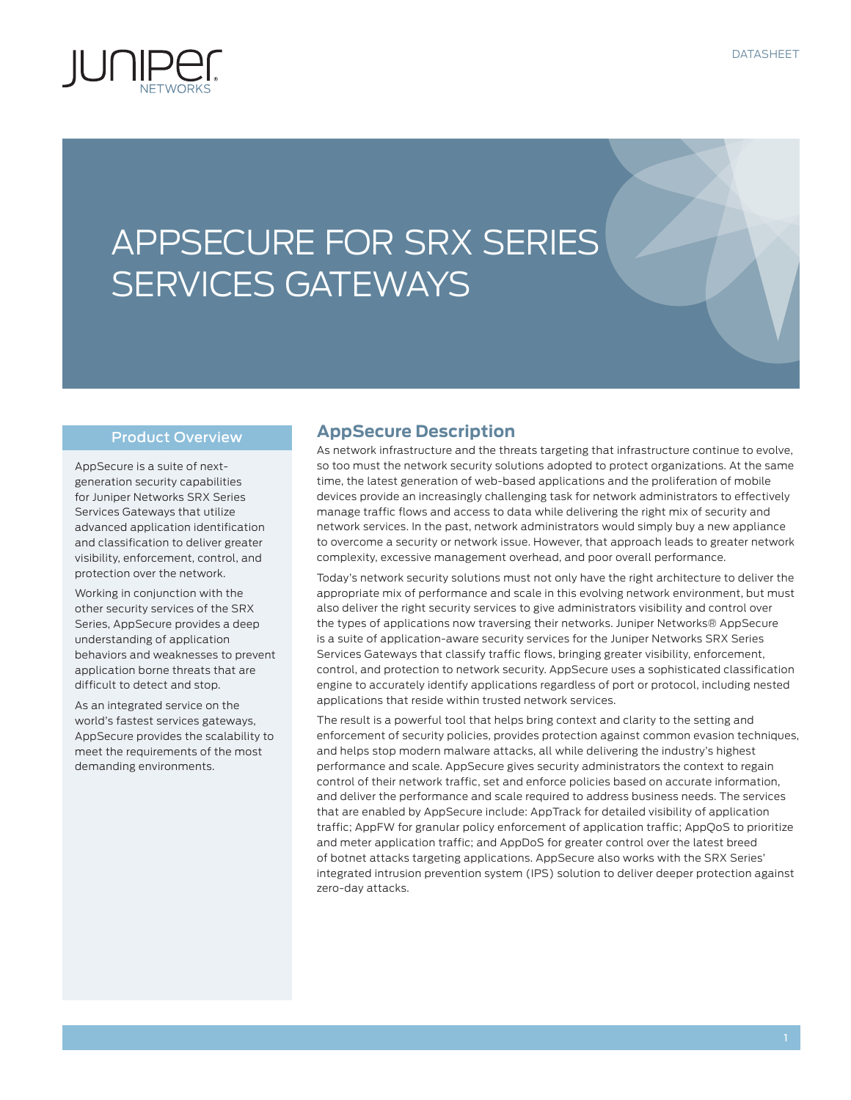

# APPSECURE FOR SRX SERIES SERVICES GATEWAYS

#### Product Overview

AppSecure is a suite of nextgeneration security capabilities for Juniper Networks SRX Series Services Gateways that utilize advanced application identification and classification to deliver greater visibility, enforcement, control, and protection over the network.

Working in conjunction with the other security services of the SRX Series, AppSecure provides a deep understanding of application behaviors and weaknesses to prevent application borne threats that are difficult to detect and stop.

As an integrated service on the world's fastest services gateways, AppSecure provides the scalability to meet the requirements of the most demanding environments.

## **AppSecure Description**

As network infrastructure and the threats targeting that infrastructure continue to evolve, so too must the network security solutions adopted to protect organizations. At the same time, the latest generation of web-based applications and the proliferation of mobile devices provide an increasingly challenging task for network administrators to effectively manage traffic flows and access to data while delivering the right mix of security and network services. In the past, network administrators would simply buy a new appliance to overcome a security or network issue. However, that approach leads to greater network complexity, excessive management overhead, and poor overall performance.

Today's network security solutions must not only have the right architecture to deliver the appropriate mix of performance and scale in this evolving network environment, but must also deliver the right security services to give administrators visibility and control over the types of applications now traversing their networks. Juniper Networks® AppSecure is a suite of application-aware security services for the Juniper Networks SRX Series Services Gateways that classify traffic flows, bringing greater visibility, enforcement, control, and protection to network security. AppSecure uses a sophisticated classification engine to accurately identify applications regardless of port or protocol, including nested applications that reside within trusted network services.

The result is a powerful tool that helps bring context and clarity to the setting and enforcement of security policies, provides protection against common evasion techniques, and helps stop modern malware attacks, all while delivering the industry's highest performance and scale. AppSecure gives security administrators the context to regain control of their network traffic, set and enforce policies based on accurate information, and deliver the performance and scale required to address business needs. The services that are enabled by AppSecure include: AppTrack for detailed visibility of application traffic; AppFW for granular policy enforcement of application traffic; AppQoS to prioritize and meter application traffic; and AppDoS for greater control over the latest breed of botnet attacks targeting applications. AppSecure also works with the SRX Series' integrated intrusion prevention system (IPS) solution to deliver deeper protection against zero-day attacks.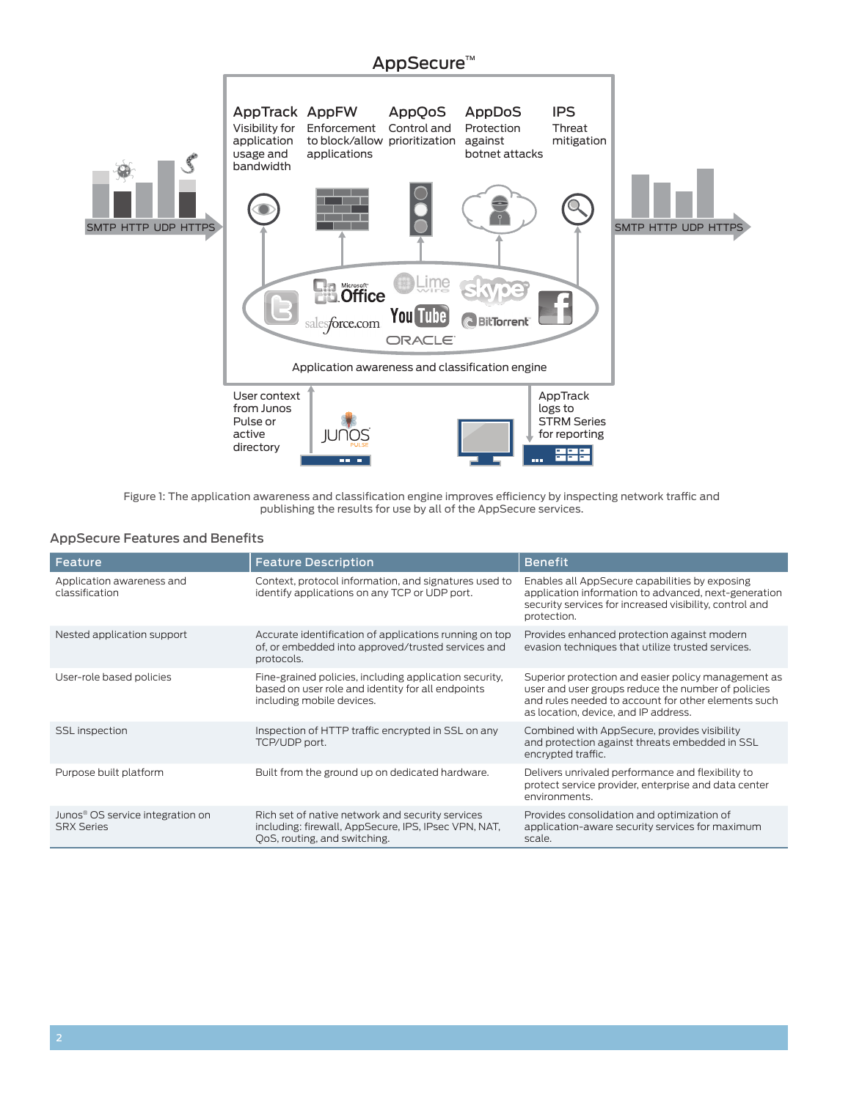

Figure 1: The application awareness and classification engine improves efficiency by inspecting network traffic and publishing the results for use by all of the AppSecure services.

#### AppSecure Features and Benefits

| Feature                                                           | <b>Feature Description</b>                                                                                                               | <b>Benefit</b>                                                                                                                                                                                           |
|-------------------------------------------------------------------|------------------------------------------------------------------------------------------------------------------------------------------|----------------------------------------------------------------------------------------------------------------------------------------------------------------------------------------------------------|
| Application awareness and<br>classification                       | Context, protocol information, and signatures used to<br>identify applications on any TCP or UDP port.                                   | Enables all AppSecure capabilities by exposing<br>application information to advanced, next-generation<br>security services for increased visibility, control and<br>protection.                         |
| Nested application support                                        | Accurate identification of applications running on top<br>of, or embedded into approved/trusted services and<br>protocols.               | Provides enhanced protection against modern<br>evasion techniques that utilize trusted services.                                                                                                         |
| User-role based policies                                          | Fine-grained policies, including application security,<br>based on user role and identity for all endpoints<br>including mobile devices. | Superior protection and easier policy management as<br>user and user groups reduce the number of policies<br>and rules needed to account for other elements such<br>as location, device, and IP address. |
| <b>SSL</b> inspection                                             | Inspection of HTTP traffic encrypted in SSL on any<br>TCP/UDP port.                                                                      | Combined with AppSecure, provides visibility<br>and protection against threats embedded in SSL<br>encrypted traffic.                                                                                     |
| Purpose built platform                                            | Built from the ground up on dedicated hardware.                                                                                          | Delivers unrivaled performance and flexibility to<br>protect service provider, enterprise and data center<br>environments.                                                                               |
| Junos <sup>®</sup> OS service integration on<br><b>SRX Series</b> | Rich set of native network and security services<br>including: firewall, AppSecure, IPS, IPsec VPN, NAT,<br>OoS, routing, and switching. | Provides consolidation and optimization of<br>application-aware security services for maximum<br>scale.                                                                                                  |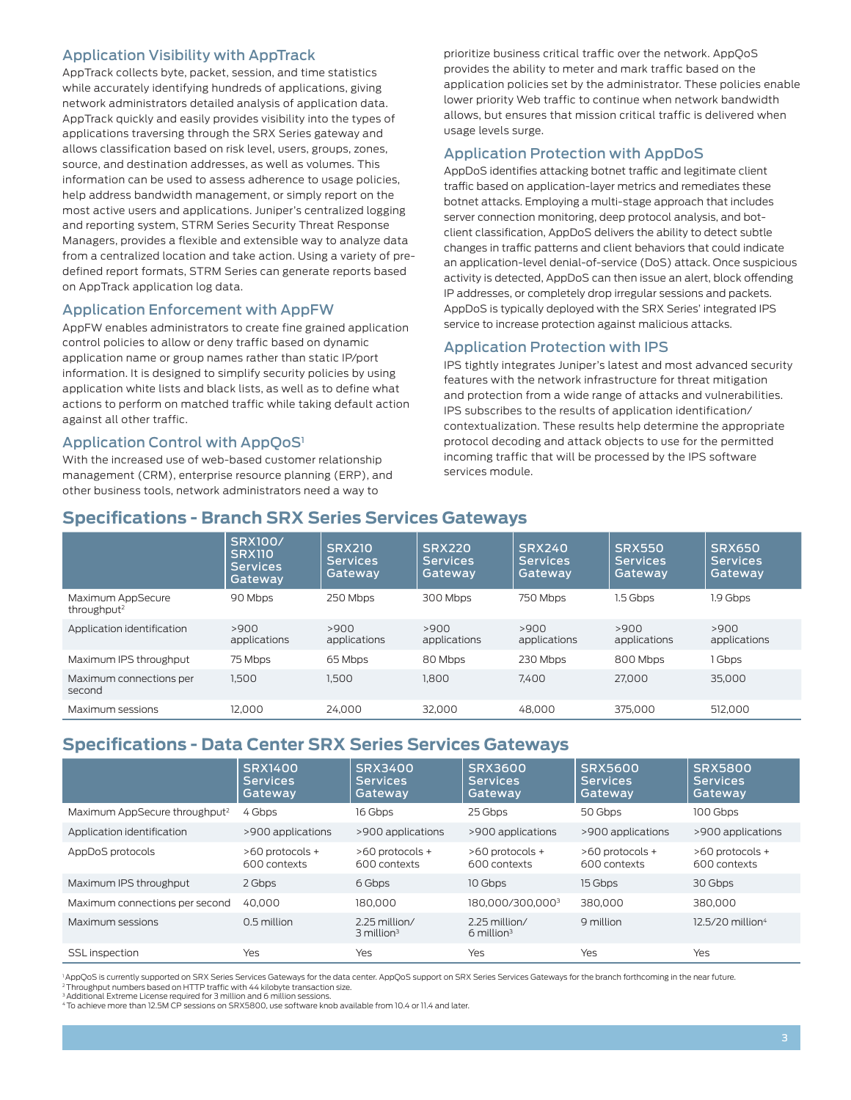### Application Visibility with AppTrack

AppTrack collects byte, packet, session, and time statistics while accurately identifying hundreds of applications, giving network administrators detailed analysis of application data. AppTrack quickly and easily provides visibility into the types of applications traversing through the SRX Series gateway and allows classification based on risk level, users, groups, zones, source, and destination addresses, as well as volumes. This information can be used to assess adherence to usage policies, help address bandwidth management, or simply report on the most active users and applications. Juniper's centralized logging and reporting system, STRM Series Security Threat Response Managers, provides a flexible and extensible way to analyze data from a centralized location and take action. Using a variety of predefined report formats, STRM Series can generate reports based on AppTrack application log data.

#### Application Enforcement with AppFW

AppFW enables administrators to create fine grained application control policies to allow or deny traffic based on dynamic application name or group names rather than static IP/port information. It is designed to simplify security policies by using application white lists and black lists, as well as to define what actions to perform on matched traffic while taking default action against all other traffic.

### Application Control with AppQoS<sup>1</sup>

With the increased use of web-based customer relationship management (CRM), enterprise resource planning (ERP), and other business tools, network administrators need a way to

prioritize business critical traffic over the network. AppQoS provides the ability to meter and mark traffic based on the application policies set by the administrator. These policies enable lower priority Web traffic to continue when network bandwidth allows, but ensures that mission critical traffic is delivered when usage levels surge.

## Application Protection with AppDoS

AppDoS identifies attacking botnet traffic and legitimate client traffic based on application-layer metrics and remediates these botnet attacks. Employing a multi-stage approach that includes server connection monitoring, deep protocol analysis, and botclient classification, AppDoS delivers the ability to detect subtle changes in traffic patterns and client behaviors that could indicate an application-level denial-of-service (DoS) attack. Once suspicious activity is detected, AppDoS can then issue an alert, block offending IP addresses, or completely drop irregular sessions and packets. AppDoS is typically deployed with the SRX Series' integrated IPS service to increase protection against malicious attacks.

#### Application Protection with IPS

IPS tightly integrates Juniper's latest and most advanced security features with the network infrastructure for threat mitigation and protection from a wide range of attacks and vulnerabilities. IPS subscribes to the results of application identification/ contextualization. These results help determine the appropriate protocol decoding and attack objects to use for the permitted incoming traffic that will be processed by the IPS software services module.

## **Specifications - Branch SRX Series Services Gateways**

|                                              | <b>SRX100/</b><br><b>SRX110</b><br><b>Services</b><br>Gatewav | <b>SRX210</b><br><b>Services</b><br>Gateway | <b>SRX220</b><br><b>Services</b><br>Gatewav | <b>SRX240</b><br><b>Services</b><br>Gateway | <b>SRX550</b><br><b>Services</b><br>Gateway | <b>SRX650</b><br><b>Services</b><br>Gatewav |
|----------------------------------------------|---------------------------------------------------------------|---------------------------------------------|---------------------------------------------|---------------------------------------------|---------------------------------------------|---------------------------------------------|
| Maximum AppSecure<br>throughput <sup>2</sup> | 90 Mbps                                                       | 250 Mbps                                    | 300 Mbps                                    | 750 Mbps                                    | 1.5 Gbps                                    | 1.9 Gbps                                    |
| Application identification                   | >900<br>applications                                          | >900<br>applications                        | >900<br>applications                        | >900<br>applications                        | >900<br>applications                        | >900<br>applications                        |
| Maximum IPS throughput                       | 75 Mbps                                                       | 65 Mbps                                     | 80 Mbps                                     | 230 Mbps                                    | 800 Mbps                                    | 1 Gbps                                      |
| Maximum connections per<br>second            | 1.500                                                         | 1.500                                       | 1.800                                       | 7.400                                       | 27,000                                      | 35,000                                      |
| Maximum sessions                             | 12.000                                                        | 24.000                                      | 32.000                                      | 48,000                                      | 375,000                                     | 512.000                                     |

# **Specifications - Data Center SRX Series Services Gateways**

|                                           | <b>SRX1400</b><br><b>Services</b><br>Gateway | <b>SRX3400</b><br><b>Services</b><br>Gateway | <b>SRX3600</b><br><b>Services</b><br>Gatewav | <b>SRX5600</b><br><b>Services</b><br>Gatewav | <b>SRX5800</b><br><b>Services</b><br>Gateway |
|-------------------------------------------|----------------------------------------------|----------------------------------------------|----------------------------------------------|----------------------------------------------|----------------------------------------------|
| Maximum AppSecure throughput <sup>2</sup> | 4 Gbps                                       | 16 Gbps                                      | 25 Gbps                                      | 50 Gbps                                      | 100 Gbps                                     |
| Application identification                | >900 applications                            | >900 applications                            | >900 applications                            | >900 applications                            | >900 applications                            |
| AppDoS protocols                          | $>60$ protocols +<br>600 contexts            | $>60$ protocols +<br>600 contexts            | $>60$ protocols +<br>600 contexts            | $>60$ protocols +<br>600 contexts            | >60 protocols +<br>600 contexts              |
| Maximum IPS throughput                    | 2 Gbps                                       | 6 Gbps                                       | 10 Gbps                                      | 15 Gbps                                      | 30 Gbps                                      |
| Maximum connections per second            | 40.000                                       | 180.000                                      | 180.000/300.0003                             | 380,000                                      | 380,000                                      |
| Maximum sessions                          | 0.5 million                                  | 2.25 million/<br>$3$ million <sup>3</sup>    | 2.25 million/<br>$6$ million <sup>3</sup>    | 9 million                                    | $12.5/20$ million <sup>4</sup>               |
| <b>SSL</b> inspection                     | Yes                                          | Yes                                          | Yes                                          | Yes                                          | Yes                                          |

<sup>1</sup>AppQoS is currently supported on SRX Series Services Gateways for the data center. AppQoS support on SRX Series Services Gateways for the branch forthcoming in the near future.

2 Throughput numbers based on HTTP traffic with 44 kilobyte transaction size. <sup>3</sup> Additional Extreme License required for 3 million and 6 million sessions.

4 To achieve more than 12.5M CP sessions on SRX5800, use software knob available from 10.4 or 11.4 and later.